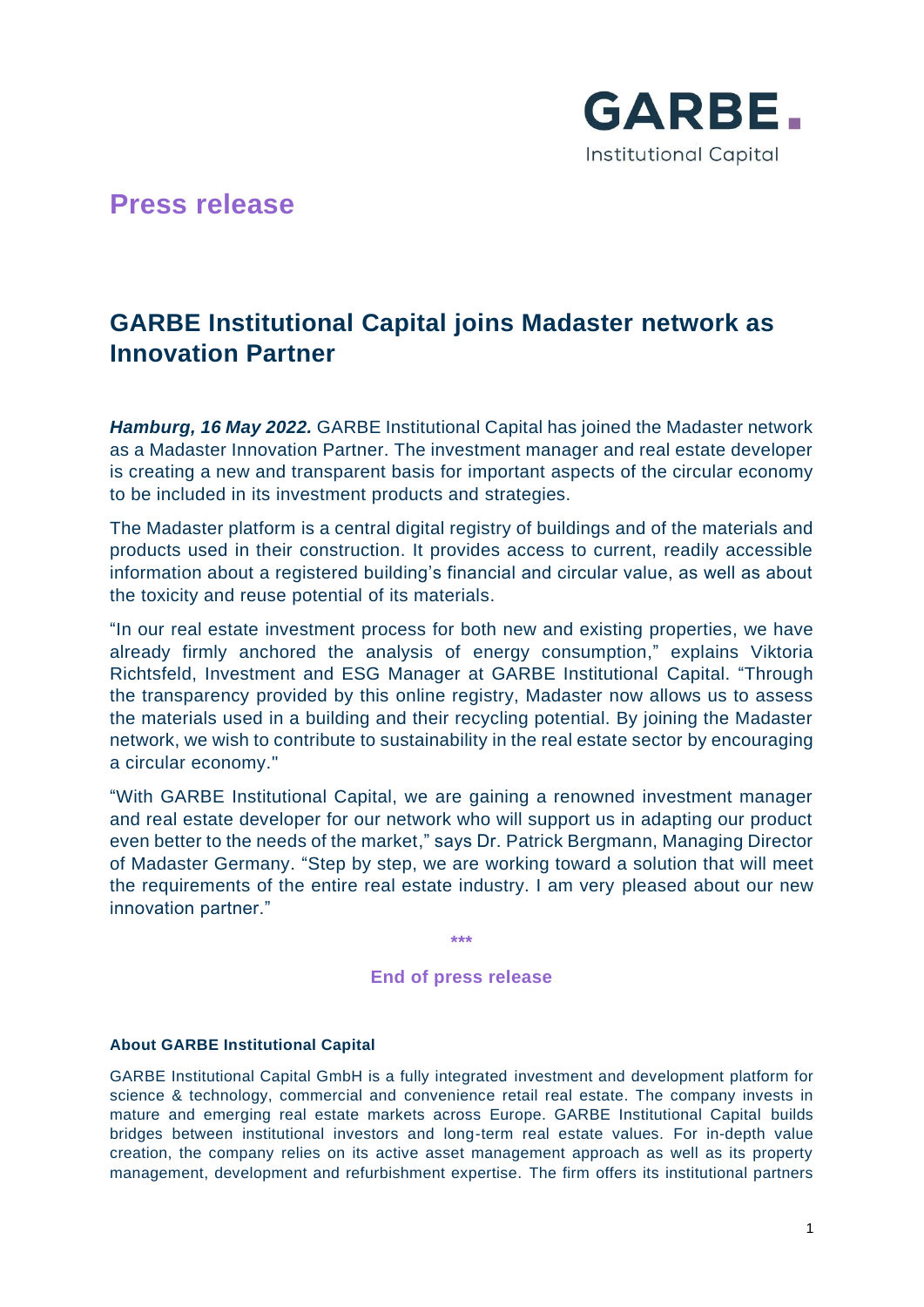

## **Press release**

# **GARBE Institutional Capital joins Madaster network as Innovation Partner**

*Hamburg, 16 May 2022.* GARBE Institutional Capital has joined the Madaster network as a Madaster Innovation Partner. The investment manager and real estate developer is creating a new and transparent basis for important aspects of the circular economy to be included in its investment products and strategies.

The Madaster platform is a central digital registry of buildings and of the materials and products used in their construction. It provides access to current, readily accessible information about a registered building's financial and circular value, as well as about the toxicity and reuse potential of its materials.

"In our real estate investment process for both new and existing properties, we have already firmly anchored the analysis of energy consumption," explains Viktoria Richtsfeld, Investment and ESG Manager at GARBE Institutional Capital. "Through the transparency provided by this online registry, Madaster now allows us to assess the materials used in a building and their recycling potential. By joining the Madaster network, we wish to contribute to sustainability in the real estate sector by encouraging a circular economy."

"With GARBE Institutional Capital, we are gaining a renowned investment manager and real estate developer for our network who will support us in adapting our product even better to the needs of the market," says Dr. Patrick Bergmann, Managing Director of Madaster Germany. "Step by step, we are working toward a solution that will meet the requirements of the entire real estate industry. I am very pleased about our new innovation partner."

**\*\*\***

## **End of press release**

## **About GARBE Institutional Capital**

GARBE Institutional Capital GmbH is a fully integrated investment and development platform for science & technology, commercial and convenience retail real estate. The company invests in mature and emerging real estate markets across Europe. GARBE Institutional Capital builds bridges between institutional investors and long-term real estate values. For in-depth value creation, the company relies on its active asset management approach as well as its property management, development and refurbishment expertise. The firm offers its institutional partners